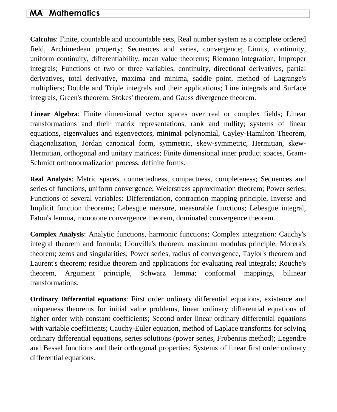## **MA Mathematics**

**Calculus**: Finite, countable and uncountable sets, Real number system as a complete ordered field, Archimedean property; Sequences and series, convergence; Limits, continuity, uniform continuity, differentiability, mean value theorems; Riemann integration, Improper integrals; Functions of two or three variables, continuity, directional derivatives, partial derivatives, total derivative, maxima and minima, saddle point, method of Lagrange's multipliers; Double and Triple integrals and their applications; Line integrals and Surface integrals, Green's theorem, Stokes' theorem, and Gauss divergence theorem.

**Linear Algebra**: Finite dimensional vector spaces over real or complex fields; Linear transformations and their matrix representations, rank and nullity; systems of linear equations, eigenvalues and eigenvectors, minimal polynomial, Cayley-Hamilton Theorem, diagonalization, Jordan canonical form, symmetric, skew-symmetric, Hermitian, skew-Hermitian, orthogonal and unitary matrices; Finite dimensional inner product spaces, Gram-Schmidt orthonormalization process, definite forms.

**Real Analysis**: Metric spaces, connectedness, compactness, completeness; Sequences and series of functions, uniform convergence; Weierstrass approximation theorem; Power series; Functions of several variables: Differentiation, contraction mapping principle, Inverse and Implicit function theorems; Lebesgue measure, measurable functions; Lebesgue integral, Fatou's lemma, monotone convergence theorem, dominated convergence theorem.

**Complex Analysis**: Analytic functions, harmonic functions; Complex integration: Cauchy's integral theorem and formula; Liouville's theorem, maximum modulus principle, Morera's theorem; zeros and singularities; Power series, radius of convergence, Taylor's theorem and Laurent's theorem; residue theorem and applications for evaluating real integrals; Rouche's theorem, Argument principle, Schwarz lemma; conformal mappings, bilinear transformations.

**Ordinary Differential equations**: First order ordinary differential equations, existence and uniqueness theorems for initial value problems, linear ordinary differential equations of higher order with constant coefficients; Second order linear ordinary differential equations with variable coefficients; Cauchy-Euler equation, method of Laplace transforms for solving ordinary differential equations, series solutions (power series, Frobenius method); Legendre and Bessel functions and their orthogonal properties; Systems of linear first order ordinary differential equations.